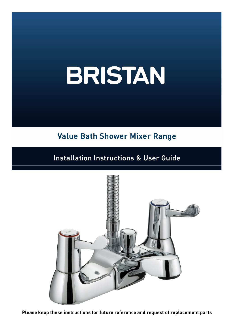# Value Bath Shower Mixer Range

# Installation Instructions & User Guide



Please keep these instructions for future reference and request of replacement parts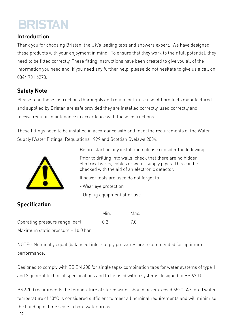### **Introduction**

Thank you for choosing Bristan, the UK's leading taps and showers expert. We have designed these products with your enjoyment in mind. To ensure that they work to their full potential, they need to be fitted correctly. These fitting instructions have been created to give you all of the information you need and, if you need any further help, please do not hesitate to give us a call on 0844 701 6273.

# Safety Note

Please read these instructions thoroughly and retain for future use. All products manufactured and supplied by Bristan are safe provided they are installed correctly, used correctly and receive regular maintenance in accordance with these instructions.

These fittings need to be installed in accordance with and meet the requirements of the Water Supply (Water Fittings) Regulations 1999 and Scottish Byelaws 2004.



Before starting any installation please consider the following:

Prior to drilling into walls, check that there are no hidden electrical wires, cables or water supply pipes. This can be checked with the aid of an electronic detector.

If power tools are used do not forget to:

- Wear eye protection

- Unplug equipment after use

# Specification

|                                    | Min.                                    | Max. |
|------------------------------------|-----------------------------------------|------|
| Operating pressure range (bar)     | $\begin{array}{c} \n 0.2\n \end{array}$ | 7 N  |
| Maximum static pressure – 10.0 bar |                                         |      |

NOTE:- Nominally equal (balanced) inlet supply pressures are recommended for optimum performance.

Designed to comply with BS EN 200 for single taps/ combination taps for water systems of type 1 and 2 general technical specifications and to be used within systems designed to BS 6700.

BS 6700 recommends the temperature of stored water should never exceed 65°C. A stored water temperature of 60°C is considered sufficient to meet all nominal requirements and will minimise the build up of lime scale in hard water areas.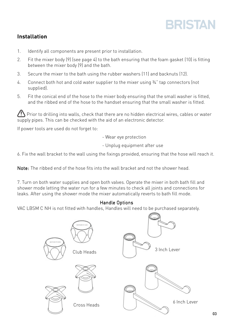# Installation

- 1. Identify all components are present prior to installation.
- 2. Fit the mixer body (9) (see page 4) to the bath ensuring that the foam gasket (10) is fitting between the mixer body (9) and the bath.
- 3. Secure the mixer to the bath using the rubber washers (11) and backnuts (12).
- 4. Connect both hot and cold water supplier to the mixer using  $\frac{3}{4}$ " tap connectors (not supplied).
- 5. Fit the conical end of the hose to the mixer body ensuring that the small washer is fitted, and the ribbed end of the hose to the handset ensuring that the small washer is fitted.

Prior to drilling into walls, check that there are no hidden electrical wires, cables or water supply pipes. This can be checked with the aid of an electronic detector.

If power tools are used do not forget to:

- Wear eye protection

- Unplug equipment after use

6. Fix the wall bracket to the wall using the fixings provided, ensuring that the hose will reach it.

Note: The ribbed end of the hose fits into the wall bracket and not the shower head.

7. Turn on both water supplies and open both valves. Operate the mixer in both bath fill and shower mode letting the water run for a few minutes to check all joints and connections for leaks. After using the shower mode the mixer automatically reverts to bath fill mode.

### Handle Options

VAC LBSM C NH is not fitted with handles, Handles will need to be purchased separately.

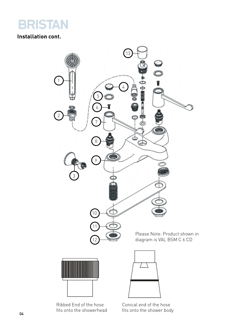

# Installation cont.



Ribbed End of the hose fits onto the showerhead Conical end of the hose fits onto the shower body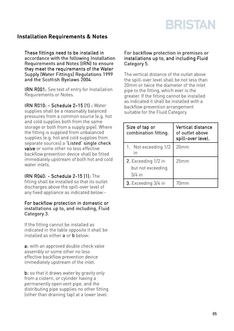### Installation Requirements & Notes

These fittings need to be installed in accordance with the following Installation Requirements and Notes (IRN) to ensure they meet the requirements of the Water Supply (Water Fittings) Regulations 1999 and the Scottish Byelaws 2004.

IRN R001: See text of entry for Installation Requirements or Notes.

IRN R010: - Schedule 2-15 (1) : Water supplies shall be a reasonably balanced pressures from a common source (e.g. hot and cold supplies both from the same storage or both from a supply pipe). Where the fitting is supplied from unbalanced supplies (e.g. hot and cold supplies from separate sources) a 'Listed' single check valve or some other no less effective backflow prevention device shall be fitted immediately upstream of both hot and cold water inlets.

IRN R040: - Schedule 2-15 [1]: The fitting shall be installed so that its outlet discharges above the spill-over level of any fixed appliance as indicated below:-

#### For backflow protection in domestic or installations up to, and including, Fluid Category 3.

If the fitting cannot be installed as indicated in the table opposite it shall be installed as either  $\overline{a}$  or  $\overline{b}$  below:

a: with an approved double check valve assembly or some other no less effective backflow prevention device immediately upstream of the inlet.

 $b:$  so that it draws water by gravity only from a cistern, or cylinder having a permanently open vent pipe, and the distributing pipe supplies no other fitting (other than draining tap) at a lower level.

#### For backflow protection in premises or installations up to, and including Fluid Category 5.

The vertical distance of the outlet above the spill-over level shall be not less than 20mm or twice the diameter of the inlet pipe to the fitting, which ever is the greater. If the fitting cannot be installed as indicated it shall be installed with a backflow prevention arrangement suitable for the Fluid Category.

| Size of tap or<br>combination fitting.               | Vertical distance<br>of outlet above<br>spill-over level. |
|------------------------------------------------------|-----------------------------------------------------------|
| 1. Not exceeding 1/2<br>$\overline{\mathsf{I}}$      | 20mm                                                      |
| 2. Exceeding 1/2 in<br>but not exceeding<br>$3/4$ in | 25mm                                                      |
| 3. Exceeding 3/4 in                                  |                                                           |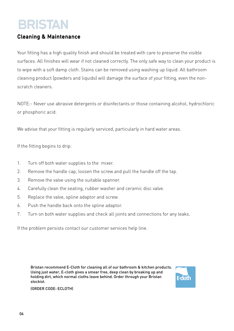### Cleaning & Maintenance

Your fitting has a high quality finish and should be treated with care to preserve the visible surfaces. All finishes will wear if not cleaned correctly. The only safe way to clean your product is to wipe with a soft damp cloth. Stains can be removed using washing up liquid. All bathroom cleaning product (powders and liquids) will damage the surface of your fitting, even the nonscratch cleaners.

NOTE:- Never use abrasive detergents or disinfectants or those containing alcohol, hydrochloric or phosphoric acid.

We advise that your fitting is regularly serviced, particularly in hard water areas.

If the fitting begins to drip:

- 1. Turn off both water supplies to the mixer.
- 2. Remove the handle cap, loosen the screw and pull the handle off the tap.
- 3. Remove the valve using the suitable spanner.
- 4. Carefully clean the seating, rubber washer and ceramic disc valve.
- 5. Replace the valve, spline adaptor and screw.
- 6. Push the handle back onto the spline adaptor.
- 7. Turn on both water supplies and check all joints and connections for any leaks.

If the problem persists contact our customer services help line.

Bristan recommend E-Cloth for cleaning all of our bathroom & kitchen products. Using just water, E-cloth gives a smear free, deep clean by breaking up and holding dirt, which normal cloths leave behind. Order through your Bristan stockist.



(ORDER CODE: ECLOTH)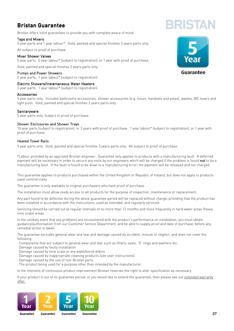## Bristan Guarantee

Bristan offers solid guarantees to provide you with complete peace of mind.

#### Taps and Mixers

5 year parts and 1 year labour\*. Gold, painted and special finishes 3 years parts only.

All subject to proof of purchase.

#### Mixer Shower Valves

5 year parts. 5 year labour\* (subject to registration), or 1 year with proof of purchase.

Gold, painted and special finishes 3 years parts only.

#### Pumps and Power Showers

2 year parts. 1 year labour\* (subject to registration).

#### Electric Showers/Instantaneous Water Heaters

2 year parts. 1 year labour\* (subject to registration).

#### Accessories

5 year parts only. Includes bathrooms accessories, shower accessories (e.g. hoses, handsets and poles), wastes, WC levers and light pulls. Gold, painted and special finishes 3 years parts only.

#### **Sanitaryware**

5 year parts only. Subject to proof of purchase.

#### Shower Enclosures and Shower Trays

10 year parts (subject to registration), or 2 years with proof of purchase. 1 year labour\* (subject to registration), or 1 year with proof of purchase.

#### Heated Towel Rails

5 year parts only. Gold, painted and special finishes 3 years parts only. All subject to proof of purchase.

\*Labour provided by an approved Bristan engineer. Guarantee only applies to products with a manufacturing fault. A deferred payment will be necessary in order to secure any visits by our engineers which will be charged if the problem is found not to be a manufacturing fault. If the fault is found to be down to a manufacturing error, the payment will be released and not charged.

This guarantee applies to products purchased within the United Kingdom or Republic of Ireland, but does not apply to products used commercially.

The guarantee is only available to original purchasers who have proof of purchase.

The installation must allow ready access to all products for the purpose of inspection, maintenance or replacement.

Any part found to be defective during the above guarantee period will be replaced without charge, providing that the product has been installed in accordance with the instructions, used as intended, and regularly serviced.

Servicing should be carried out at regular intervals of no more than 12 months and more frequently in hard water areas (heavy lime scale) areas.

In the unlikely event that any problems are encountered with the product's performance on installation, you must obtain guidance/authorisation from our Customer Service Department, and be able to supply proof and date of purchase, before any remedial action is taken.

The guarantee excludes general wear and tear and damage caused by accident, misuse or neglect, and does not cover the following:

- . Components that are subject to general wear and tear such as filters, seals, 'O' rings and washers etc.
- · Damage caused by faulty installation
- · Damage caused by lime scale or any waterborne debris
- · Damage caused by inappropriate cleaning products (see user instructions)
- · Damage caused by the use of non-Bristan parts
- · The product being used for a purpose other than intended by the manufacturer.

In the interests of continuous product improvement Bristan reserves the right to alter specification as necessary.

If your product is out of its guarantee period, or you would like to extend the guarantee, then please see our extended warranty offer.





**BRISTAL**